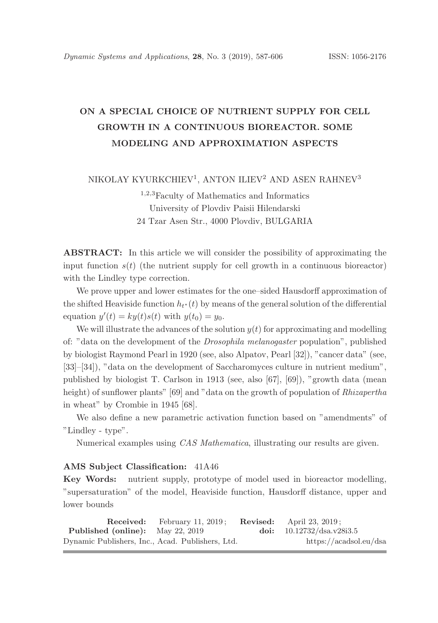# ON A SPECIAL CHOICE OF NUTRIENT SUPPLY FOR CELL GROWTH IN A CONTINUOUS BIOREACTOR. SOME MODELING AND APPROXIMATION ASPECTS

NIKOLAY KYURKCHIEV<sup>1</sup>, ANTON ILIEV<sup>2</sup> AND ASEN RAHNEV<sup>3</sup>

<sup>1</sup>,2,<sup>3</sup>Faculty of Mathematics and Informatics University of Plovdiv Paisii Hilendarski 24 Tzar Asen Str., 4000 Plovdiv, BULGARIA

ABSTRACT: In this article we will consider the possibility of approximating the input function  $s(t)$  (the nutrient supply for cell growth in a continuous bioreactor) with the Lindley type correction.

We prove upper and lower estimates for the one–sided Hausdorff approximation of the shifted Heaviside function  $h_{t^*}(t)$  by means of the general solution of the differential equation  $y'(t) = ky(t)s(t)$  with  $y(t_0) = y_0$ .

We will illustrate the advances of the solution  $y(t)$  for approximating and modelling of: "data on the development of the Drosophila melanogaster population", published by biologist Raymond Pearl in 1920 (see, also Alpatov, Pearl [32]), "cancer data" (see, [33]–[34]), "data on the development of Saccharomyces culture in nutrient medium", published by biologist T. Carlson in 1913 (see, also [67], [69]), "growth data (mean height) of sunflower plants" [69] and "data on the growth of population of *Rhizapertha* in wheat" by Crombie in 1945 [68].

We also define a new parametric activation function based on "amendments" of "Lindley - type".

Numerical examples using CAS Mathematica, illustrating our results are given.

#### AMS Subject Classification: 41A46

Key Words: nutrient supply, prototype of model used in bioreactor modelling, "supersaturation" of the model, Heaviside function, Hausdorff distance, upper and lower bounds

|                                                  | <b>Received:</b> February 11, 2019; | <b>Revised:</b> April 23, 2019; |
|--------------------------------------------------|-------------------------------------|---------------------------------|
| <b>Published (online):</b> May 22, 2019          |                                     | doi: $10.12732/dsa.v28i3.5$     |
| Dynamic Publishers, Inc., Acad. Publishers, Ltd. |                                     | https://acadsol.eu/dsa          |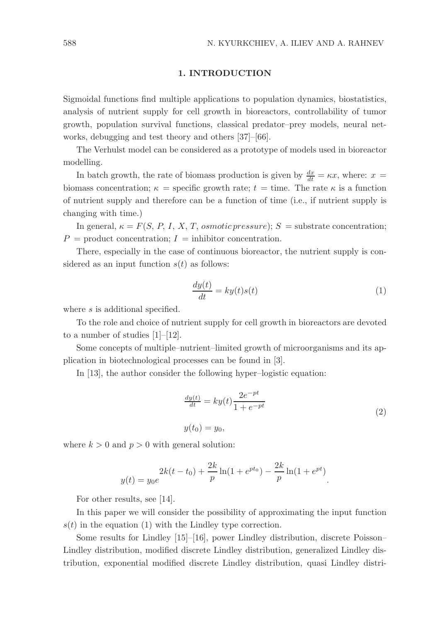#### 1. INTRODUCTION

Sigmoidal functions find multiple applications to population dynamics, biostatistics, analysis of nutrient supply for cell growth in bioreactors, controllability of tumor growth, population survival functions, classical predator–prey models, neural networks, debugging and test theory and others [37]–[66].

The Verhulst model can be considered as a prototype of models used in bioreactor modelling.

In batch growth, the rate of biomass production is given by  $\frac{dx}{dt} = \kappa x$ , where:  $x =$ biomass concentration;  $\kappa$  = specific growth rate; t = time. The rate  $\kappa$  is a function of nutrient supply and therefore can be a function of time (i.e., if nutrient supply is changing with time.)

In general,  $\kappa = F(S, P, I, X, T, osmotic pressure); S =$  substrate concentration;  $P =$  product concentration;  $I =$  inhibitor concentration.

There, especially in the case of continuous bioreactor, the nutrient supply is considered as an input function  $s(t)$  as follows:

$$
\frac{dy(t)}{dt} = ky(t)s(t)
$$
\n(1)

where s is additional specified.

To the role and choice of nutrient supply for cell growth in bioreactors are devoted to a number of studies [1]–[12].

Some concepts of multiple–nutrient–limited growth of microorganisms and its application in biotechnological processes can be found in [3].

In [13], the author consider the following hyper–logistic equation:

$$
\frac{dy(t)}{dt} = ky(t)\frac{2e^{-pt}}{1+e^{-pt}}
$$
\n
$$
y(t_0) = y_0,
$$
\n(2)

.

where  $k > 0$  and  $p > 0$  with general solution:

$$
y(t) = y_0 e^{2k(t - t_0) + \frac{2k}{p} \ln(1 + e^{pt_0}) - \frac{2k}{p} \ln(1 + e^{pt})}
$$

For other results, see [14].

In this paper we will consider the possibility of approximating the input function  $s(t)$  in the equation (1) with the Lindley type correction.

Some results for Lindley [15]–[16], power Lindley distribution, discrete Poisson– Lindley distribution, modified discrete Lindley distribution, generalized Lindley distribution, exponential modified discrete Lindley distribution, quasi Lindley distri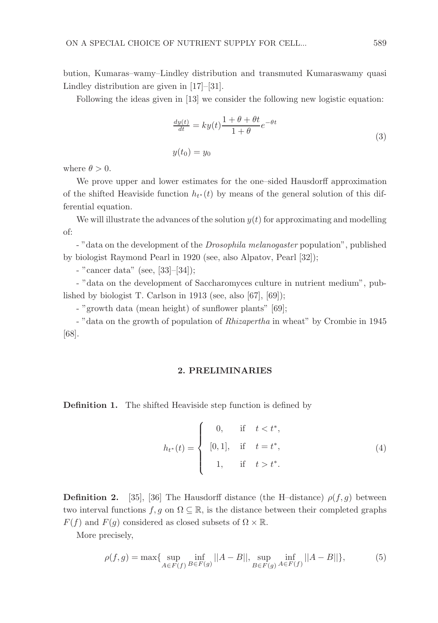bution, Kumaras–wamy–Lindley distribution and transmuted Kumaraswamy quasi Lindley distribution are given in [17]–[31].

Following the ideas given in [13] we consider the following new logistic equation:

$$
\frac{dy(t)}{dt} = ky(t)\frac{1+\theta+\theta t}{1+\theta}e^{-\theta t}
$$
  
(3)  

$$
y(t_0) = y_0
$$

where  $\theta > 0$ .

We prove upper and lower estimates for the one–sided Hausdorff approximation of the shifted Heaviside function  $h_{t^*}(t)$  by means of the general solution of this differential equation.

We will illustrate the advances of the solution  $y(t)$  for approximating and modelling of:

- "data on the development of the *Drosophila melanogaster* population", published by biologist Raymond Pearl in 1920 (see, also Alpatov, Pearl [32]);

- "cancer data" (see, [33]–[34]);

- "data on the development of Saccharomyces culture in nutrient medium", published by biologist T. Carlson in 1913 (see, also [67], [69]);

- "growth data (mean height) of sunflower plants" [69];

- "data on the growth of population of *Rhizapertha* in wheat" by Crombie in 1945 [68].

#### 2. PRELIMINARIES

Definition 1. The shifted Heaviside step function is defined by

$$
h_{t^*}(t) = \begin{cases} 0, & \text{if } t < t^*, \\ [0,1], & \text{if } t = t^*, \\ 1, & \text{if } t > t^*. \end{cases}
$$
 (4)

**Definition 2.** [35], [36] The Hausdorff distance (the H-distance)  $\rho(f, g)$  between two interval functions  $f, g$  on  $\Omega \subseteq \mathbb{R}$ , is the distance between their completed graphs  $F(f)$  and  $F(g)$  considered as closed subsets of  $\Omega \times \mathbb{R}$ .

More precisely,

$$
\rho(f,g) = \max\{\sup_{A \in F(f)} \inf_{B \in F(g)} ||A - B||, \sup_{B \in F(g)} \inf_{A \in F(f)} ||A - B||\},\tag{5}
$$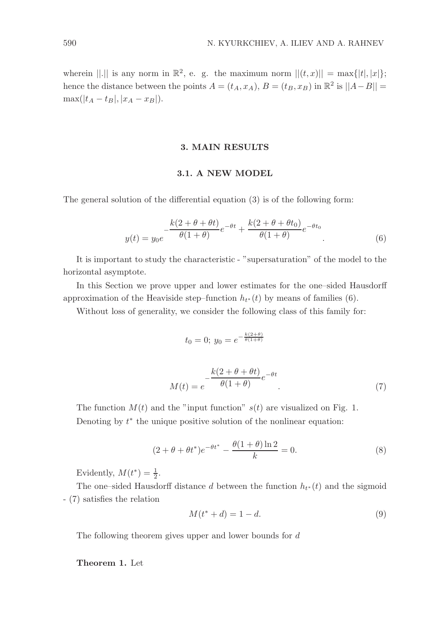wherein  $||.||$  is any norm in  $\mathbb{R}^2$ , e. g. the maximum norm  $||(t, x)|| = \max\{|t|, |x|\};$ hence the distance between the points  $A = (t_A, x_A), B = (t_B, x_B)$  in  $\mathbb{R}^2$  is  $||A - B|| =$  $\max(|t_A - t_B|, |x_A - x_B|).$ 

#### 3. MAIN RESULTS

### 3.1. A NEW MODEL

The general solution of the differential equation (3) is of the following form:

$$
y(t) = y_0 e^{-\frac{k(2+\theta+\theta t)}{\theta(1+\theta)}} e^{-\theta t} + \frac{k(2+\theta+\theta t_0)}{\theta(1+\theta)} e^{-\theta t_0}
$$
\n(6)

It is important to study the characteristic - "supersaturation" of the model to the horizontal asymptote.

In this Section we prove upper and lower estimates for the one–sided Hausdorff approximation of the Heaviside step–function  $h_{t^*}(t)$  by means of families (6).

Without loss of generality, we consider the following class of this family for:

$$
t_0 = 0; \ y_0 = e^{-\frac{k(2+\theta)}{\theta(1+\theta)}}
$$

$$
M(t) = e^{-\frac{k(2+\theta+\theta t)}{\theta(1+\theta)}} e^{-\theta t}
$$
(7)

The function  $M(t)$  and the "input function"  $s(t)$  are visualized on Fig. 1. Denoting by  $t^*$  the unique positive solution of the nonlinear equation:

$$
(2 + \theta + \theta t^*)e^{-\theta t^*} - \frac{\theta(1 + \theta)\ln 2}{k} = 0.
$$
 (8)

Evidently,  $M(t^*) = \frac{1}{2}$ .

The one–sided Hausdorff distance d between the function  $h_{t*}(t)$  and the sigmoid - (7) satisfies the relation

$$
M(t^* + d) = 1 - d.
$$
\n(9)

The following theorem gives upper and lower bounds for d

Theorem 1. Let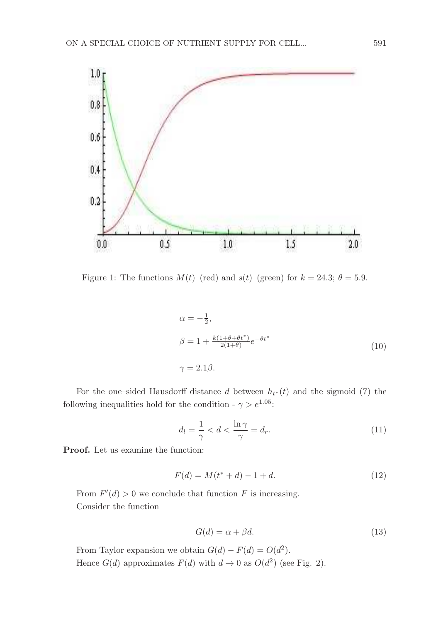

Figure 1: The functions  $M(t)$ –(red) and  $s(t)$ –(green) for  $k = 24.3$ ;  $\theta = 5.9$ .

$$
\alpha = -\frac{1}{2},
$$
  
\n
$$
\beta = 1 + \frac{k(1+\theta+\theta t^*)}{2(1+\theta)}e^{-\theta t^*}
$$
  
\n
$$
\gamma = 2.1\beta.
$$
\n(10)

For the one–sided Hausdorff distance d between  $h_{t*}(t)$  and the sigmoid (7) the following inequalities hold for the condition -  $\gamma > e^{1.05}$ :

$$
d_l = \frac{1}{\gamma} < d < \frac{\ln \gamma}{\gamma} = d_r. \tag{11}
$$

Proof. Let us examine the function:

$$
F(d) = M(t^* + d) - 1 + d.
$$
\n(12)

From  $F'(d) > 0$  we conclude that function F is increasing. Consider the function

$$
G(d) = \alpha + \beta d. \tag{13}
$$

From Taylor expansion we obtain  $G(d) - F(d) = O(d^2)$ . Hence  $G(d)$  approximates  $F(d)$  with  $d \to 0$  as  $O(d^2)$  (see Fig. 2).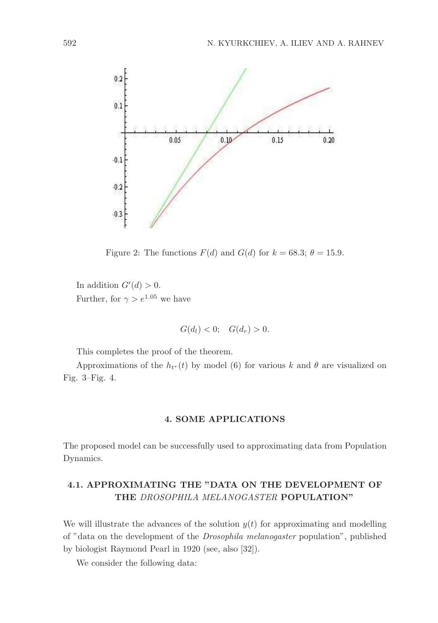

Figure 2: The functions  $F(d)$  and  $G(d)$  for  $k = 68.3$ ;  $\theta = 15.9$ .

In addition  $G'(d) > 0$ . Further, for  $\gamma > e^{1.05}$  we have

$$
G(d_l) < 0; \quad G(d_r) > 0.
$$

This completes the proof of the theorem.

Approximations of the  $h_{t*}(t)$  by model (6) for various k and  $\theta$  are visualized on Fig. 3–Fig. 4.

### 4. SOME APPLICATIONS

The proposed model can be successfully used to approximating data from Population Dynamics.

# 4.1. APPROXIMATING THE "DATA ON THE DEVELOPMENT OF THE DROSOPHILA MELANOGASTER POPULATION"

We will illustrate the advances of the solution  $y(t)$  for approximating and modelling of "data on the development of the Drosophila melanogaster population", published by biologist Raymond Pearl in 1920 (see, also [32]).

We consider the following data: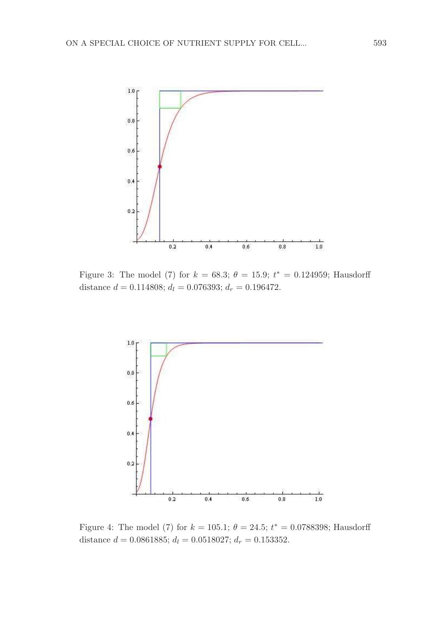

Figure 3: The model (7) for  $k = 68.3$ ;  $\theta = 15.9$ ;  $t^* = 0.124959$ ; Hausdorff distance  $d = 0.114808$ ;  $d_l = 0.076393$ ;  $d_r = 0.196472$ .



Figure 4: The model (7) for  $k = 105.1$ ;  $\theta = 24.5$ ;  $t^* = 0.0788398$ ; Hausdorff distance  $d = 0.0861885$ ;  $d_l = 0.0518027$ ;  $d_r = 0.153352$ .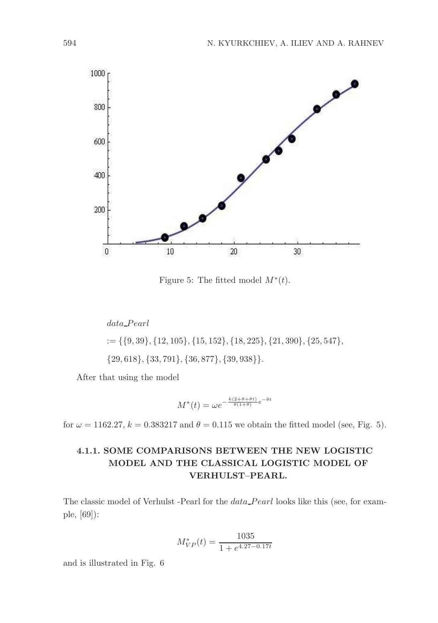

Figure 5: The fitted model  $M^*(t)$ .

 $data\_Pearl$ 

 $:= \{\{9, 39\}, \{12, 105\}, \{15, 152\}, \{18, 225\}, \{21, 390\}, \{25, 547\},\$ 

{29, 618}, {33, 791}, {36, 877}, {39, 938}}.

After that using the model

$$
M^*(t) = \omega e^{-\frac{k(2+\theta+\theta t)}{\theta(1+\theta)}} e^{-\theta t}
$$

for  $\omega = 1162.27$ ,  $k = 0.383217$  and  $\theta = 0.115$  we obtain the fitted model (see, Fig. 5).

## 4.1.1. SOME COMPARISONS BETWEEN THE NEW LOGISTIC MODEL AND THE CLASSICAL LOGISTIC MODEL OF VERHULST–PEARL.

The classic model of Verhulst -Pearl for the *data* Pearl looks like this (see, for example, [69]):

$$
M_{VP}^*(t) = \frac{1035}{1 + e^{4.27 - 0.17t}}
$$

and is illustrated in Fig. 6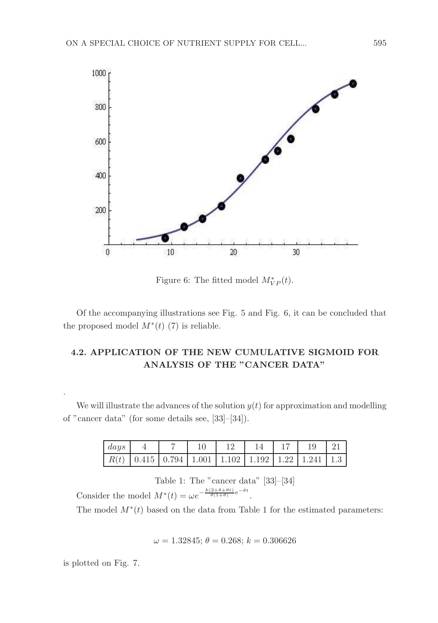

Figure 6: The fitted model  $M^*_{VP}(t)$ .

Of the accompanying illustrations see Fig. 5 and Fig. 6, it can be concluded that the proposed model  $M^*(t)$  (7) is reliable.

# 4.2. APPLICATION OF THE NEW CUMULATIVE SIGMOID FOR ANALYSIS OF THE "CANCER DATA"

We will illustrate the advances of the solution  $y(t)$  for approximation and modelling of "cancer data" (for some details see, [33]–[34]).

| days |                                                                     |  | -14 | 17   19 |  |
|------|---------------------------------------------------------------------|--|-----|---------|--|
|      | $R(t)$   0.415   0.794   1.001   1.102   1.192   1.22   1.241   1.3 |  |     |         |  |

Table 1: The "cancer data" [33]–[34] Consider the model  $M^*(t) = \omega e^{-\frac{k(2+\theta+\theta t)}{\theta(1+\theta)}}e^{-\theta t}$ .

The model  $M^*(t)$  based on the data from Table 1 for the estimated parameters:

$$
\omega = 1.32845; \, \theta = 0.268; \, k = 0.306626
$$

is plotted on Fig. 7.

.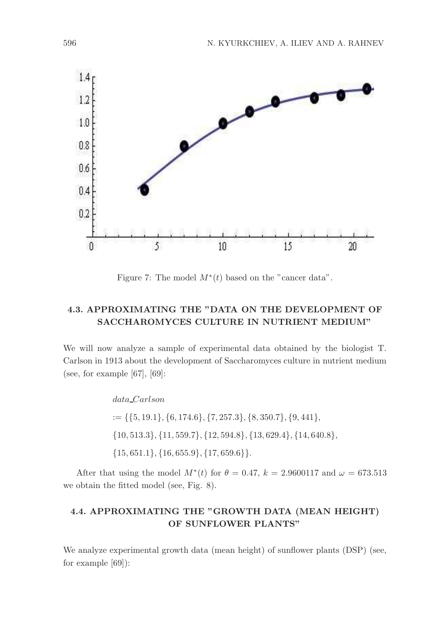

Figure 7: The model  $M^*(t)$  based on the "cancer data".

# 4.3. APPROXIMATING THE "DATA ON THE DEVELOPMENT OF SACCHAROMYCES CULTURE IN NUTRIENT MEDIUM"

We will now analyze a sample of experimental data obtained by the biologist T. Carlson in 1913 about the development of Saccharomyces culture in nutrient medium (see, for example  $[67]$ ,  $[69]$ :

data Carlson

 $:= \{\{5, 19.1\}, \{6, 174.6\}, \{7, 257.3\}, \{8, 350.7\}, \{9, 441\},\}$ {10, 513.3}, {11, 559.7}, {12, 594.8}, {13, 629.4}, {14, 640.8},  $\{15, 651.1\}, \{16, 655.9\}, \{17, 659.6\}\}.$ 

After that using the model  $M^*(t)$  for  $\theta = 0.47$ ,  $k = 2.9600117$  and  $\omega = 673.513$ we obtain the fitted model (see, Fig. 8).

# 4.4. APPROXIMATING THE "GROWTH DATA (MEAN HEIGHT) OF SUNFLOWER PLANTS"

We analyze experimental growth data (mean height) of sunflower plants (DSP) (see, for example [69]):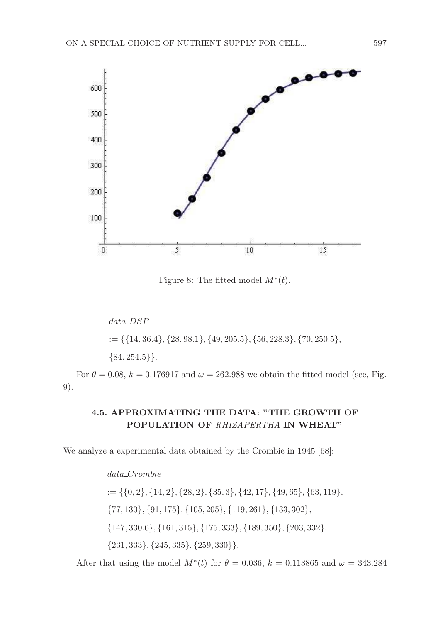

Figure 8: The fitted model  $M^*(t)$ .

data DSP  $:= \{ \{14, 36.4\}, \{28, 98.1\}, \{49, 205.5\}, \{56, 228.3\}, \{70, 250.5\}, \}$  $\{84, 254.5\}.$ 

For  $\theta = 0.08$ ,  $k = 0.176917$  and  $\omega = 262.988$  we obtain the fitted model (see, Fig. 9).

## 4.5. APPROXIMATING THE DATA: "THE GROWTH OF POPULATION OF RHIZAPERTHA IN WHEAT"

We analyze a experimental data obtained by the Crombie in 1945 [68]:

### data Crombie

 $:= \{ \{0, 2\}, \{14, 2\}, \{28, 2\}, \{35, 3\}, \{42, 17\}, \{49, 65\}, \{63, 119\}, \}$ {77, 130}, {91, 175}, {105, 205}, {119, 261}, {133, 302}, {147, 330.6}, {161, 315}, {175, 333}, {189, 350}, {203, 332}, {231, 333}, {245, 335}, {259, 330}}.

After that using the model  $M^*(t)$  for  $\theta = 0.036$ ,  $k = 0.113865$  and  $\omega = 343.284$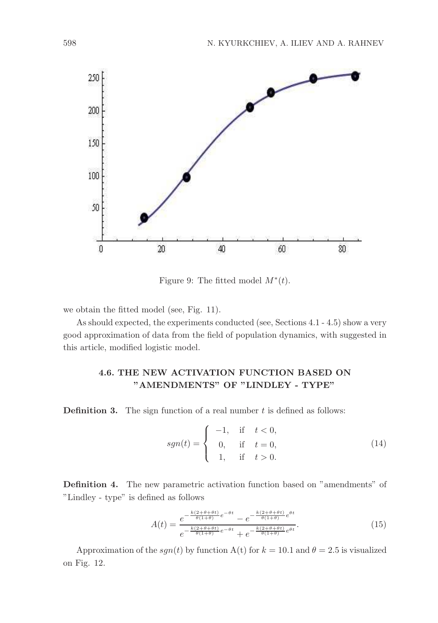

Figure 9: The fitted model  $M^*(t)$ .

we obtain the fitted model (see, Fig. 11).

As should expected, the experiments conducted (see, Sections 4.1 - 4.5) show a very good approximation of data from the field of population dynamics, with suggested in this article, modified logistic model.

### 4.6. THE NEW ACTIVATION FUNCTION BASED ON "AMENDMENTS" OF "LINDLEY - TYPE"

**Definition 3.** The sign function of a real number  $t$  is defined as follows:

$$
sgn(t) = \begin{cases}\n-1, & \text{if } t < 0, \\
0, & \text{if } t = 0, \\
1, & \text{if } t > 0.\n\end{cases}
$$
\n(14)

Definition 4. The new parametric activation function based on "amendments" of "Lindley - type" is defined as follows

$$
A(t) = \frac{e^{-\frac{k(2+\theta+\theta t)}{\theta(1+\theta)}}e^{-\theta t} - e^{-\frac{k(2+\theta+\theta t)}{\theta(1+\theta)}}e^{\theta t}}{e^{-\frac{k(2+\theta+\theta t)}{\theta(1+\theta)}}e^{-\theta t} + e^{-\frac{k(2+\theta+\theta t)}{\theta(1+\theta)}}e^{\theta t}}.
$$
(15)

Approximation of the  $sgn(t)$  by function A(t) for  $k = 10.1$  and  $\theta = 2.5$  is visualized on Fig. 12.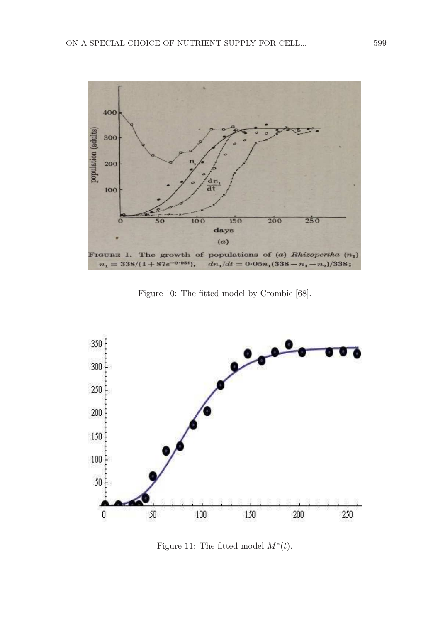

Figure 10: The fitted model by Crombie [68].



Figure 11: The fitted model  $M^*(t)$ .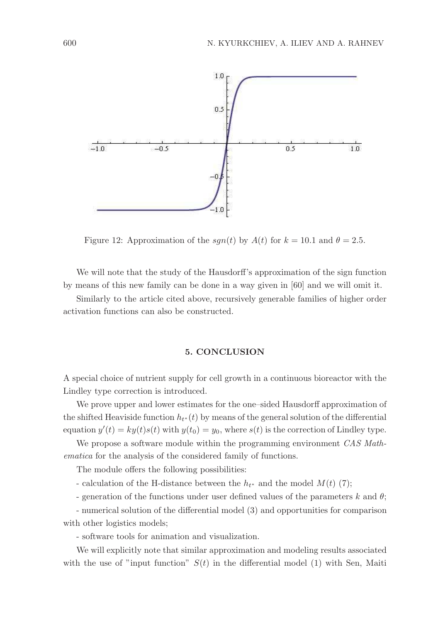

Figure 12: Approximation of the  $sgn(t)$  by  $A(t)$  for  $k = 10.1$  and  $\theta = 2.5$ .

We will note that the study of the Hausdorff's approximation of the sign function by means of this new family can be done in a way given in [60] and we will omit it.

Similarly to the article cited above, recursively generable families of higher order activation functions can also be constructed.

#### 5. CONCLUSION

A special choice of nutrient supply for cell growth in a continuous bioreactor with the Lindley type correction is introduced.

We prove upper and lower estimates for the one–sided Hausdorff approximation of the shifted Heaviside function  $h_{t^*}(t)$  by means of the general solution of the differential equation  $y'(t) = ky(t)s(t)$  with  $y(t_0) = y_0$ , where  $s(t)$  is the correction of Lindley type.

We propose a software module within the programming environment CAS Mathematica for the analysis of the considered family of functions.

The module offers the following possibilities:

- calculation of the H-distance between the  $h_{t^*}$  and the model  $M(t)$  (7);
- generation of the functions under user defined values of the parameters k and  $\theta$ ;

- numerical solution of the differential model (3) and opportunities for comparison with other logistics models;

- software tools for animation and visualization.

We will explicitly note that similar approximation and modeling results associated with the use of "input function"  $S(t)$  in the differential model (1) with Sen, Maiti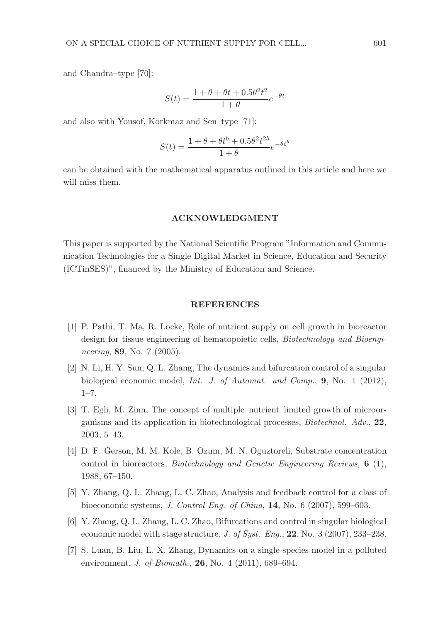and Chandra–type [70]:

$$
S(t) = \frac{1 + \theta + \theta t + 0.5\theta^2 t^2}{1 + \theta} e^{-\theta t}
$$

and also with Yousof, Korkmaz and Sen–type [71]:

$$
S(t) = \frac{1 + \theta + \theta t^{b} + 0.5\theta^{2} t^{2b}}{1 + \theta} e^{-\theta t^{b}}
$$

can be obtained with the mathematical apparatus outlined in this article and here we will miss them.

#### ACKNOWLEDGMENT

This paper is supported by the National Scientific Program "Information and Communication Technologies for a Single Digital Market in Science, Education and Security (ICTinSES)", financed by the Ministry of Education and Science.

#### REFERENCES

- [1] P. Pathi, T. Ma, R. Locke, Role of nutrient supply on cell growth in bioreactor design for tissue engineering of hematopoietic cells, Biotechnology and Bioengineering, **89**, No. 7 (2005).
- [2] N. Li, H. Y. Sun, Q. L. Zhang, The dynamics and bifurcation control of a singular biological economic model, Int. J. of Automat. and Comp., 9, No. 1 (2012), 1–7.
- [3] T. Egli, M. Zinn, The concept of multiple–nutrient–limited growth of microorganisms and its application in biotechnological processes, Biotechnol. Adv., 22, 2003, 5–43.
- [4] D. F. Gerson, M. M. Kole, B. Ozum, M. N. Oguztoreli, Substrate concentration control in bioreactors, Biotechnology and Genetic Engineering Reviews, 6 (1), 1988, 67–150.
- [5] Y. Zhang, Q. L. Zhang, L. C. Zhao, Analysis and feedback control for a class of bioeconomic systems, J. Control Eng. of China, 14, No. 6 (2007), 599–603.
- [6] Y. Zhang, Q. L. Zhang, L. C. Zhao, Bifurcations and control in singular biological economic model with stage structure, J. of Syst. Eng.,  $22$ , No. 3 (2007), 233-238.
- [7] S. Luan, B. Liu, L. X. Zhang, Dynamics on a single-species model in a polluted environment, *J. of Biomath.*, **26**, No. 4 (2011), 689–694.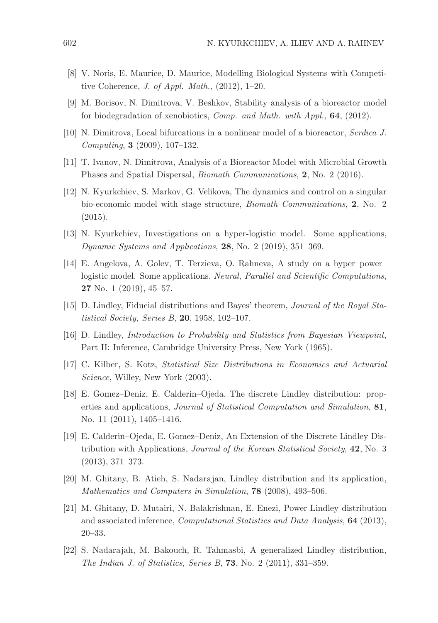- [8] V. Noris, E. Maurice, D. Maurice, Modelling Biological Systems with Competitive Coherence, J. of Appl. Math., (2012), 1–20.
- [9] M. Borisov, N. Dimitrova, V. Beshkov, Stability analysis of a bioreactor model for biodegradation of xenobiotics, Comp. and Math. with Appl., 64, (2012).
- [10] N. Dimitrova, Local bifurcations in a nonlinear model of a bioreactor, Serdica J. Computing, 3 (2009), 107–132.
- [11] T. Ivanov, N. Dimitrova, Analysis of a Bioreactor Model with Microbial Growth Phases and Spatial Dispersal, Biomath Communications, 2, No. 2 (2016).
- [12] N. Kyurkchiev, S. Markov, G. Velikova, The dynamics and control on a singular bio-economic model with stage structure, Biomath Communications, 2, No. 2 (2015).
- [13] N. Kyurkchiev, Investigations on a hyper-logistic model. Some applications, Dynamic Systems and Applications, 28, No. 2 (2019), 351–369.
- [14] E. Angelova, A. Golev, T. Terzieva, O. Rahneva, A study on a hyper–power– logistic model. Some applications, *Neural, Parallel and Scientific Computations*, 27 No. 1 (2019), 45–57.
- [15] D. Lindley, Fiducial distributions and Bayes' theorem, Journal of the Royal Statistical Society, Series B, 20, 1958, 102–107.
- [16] D. Lindley, Introduction to Probability and Statistics from Bayesian Viewpoint, Part II: Inference, Cambridge University Press, New York (1965).
- [17] C. Kilber, S. Kotz, Statistical Size Distributions in Economics and Actuarial Science, Willey, New York (2003).
- [18] E. Gomez–Deniz, E. Calderin–Ojeda, The discrete Lindley distribution: properties and applications, Journal of Statistical Computation and Simulation, 81, No. 11 (2011), 1405–1416.
- [19] E. Calderin–Ojeda, E. Gomez–Deniz, An Extension of the Discrete Lindley Distribution with Applications, Journal of the Korean Statistical Society, 42, No. 3 (2013), 371–373.
- [20] M. Ghitany, B. Atieh, S. Nadarajan, Lindley distribution and its application, Mathematics and Computers in Simulation, 78 (2008), 493–506.
- [21] M. Ghitany, D. Mutairi, N. Balakrishnan, E. Enezi, Power Lindley distribution and associated inference, Computational Statistics and Data Analysis, 64 (2013), 20–33.
- [22] S. Nadarajah, M. Bakouch, R. Tahmasbi, A generalized Lindley distribution, The Indian J. of Statistics, Series B, 73, No. 2 (2011), 331–359.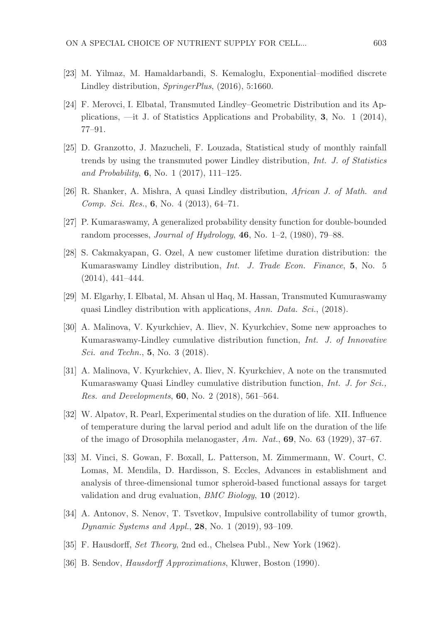- [23] M. Yilmaz, M. Hamaldarbandi, S. Kemaloglu, Exponential–modified discrete Lindley distribution, SpringerPlus, (2016), 5:1660.
- [24] F. Merovci, I. Elbatal, Transmuted Lindley–Geometric Distribution and its Applications, —it J. of Statistics Applications and Probability, 3, No. 1 (2014), 77–91.
- [25] D. Granzotto, J. Mazucheli, F. Louzada, Statistical study of monthly rainfall trends by using the transmuted power Lindley distribution, Int. J. of Statistics and Probability, 6, No. 1 (2017), 111–125.
- [26] R. Shanker, A. Mishra, A quasi Lindley distribution, African J. of Math. and Comp. Sci. Res., 6, No. 4 (2013), 64–71.
- [27] P. Kumaraswamy, A generalized probability density function for double-bounded random processes, *Journal of Hydrology*,  $46$ , No. 1–2, (1980), 79–88.
- [28] S. Cakmakyapan, G. Ozel, A new customer lifetime duration distribution: the Kumaraswamy Lindley distribution, Int. J. Trade Econ. Finance, 5, No. 5 (2014), 441–444.
- [29] M. Elgarhy, I. Elbatal, M. Ahsan ul Haq, M. Hassan, Transmuted Kumuraswamy quasi Lindley distribution with applications, Ann. Data. Sci., (2018).
- [30] A. Malinova, V. Kyurkchiev, A. Iliev, N. Kyurkchiev, Some new approaches to Kumaraswamy-Lindley cumulative distribution function, Int. J. of Innovative Sci. and Techn., **5**, No. 3 (2018).
- [31] A. Malinova, V. Kyurkchiev, A. Iliev, N. Kyurkchiev, A note on the transmuted Kumaraswamy Quasi Lindley cumulative distribution function, Int. J. for Sci., Res. and Developments, 60, No. 2 (2018), 561–564.
- [32] W. Alpatov, R. Pearl, Experimental studies on the duration of life. XII. Influence of temperature during the larval period and adult life on the duration of the life of the imago of Drosophila melanogaster,  $Am. Nat., 69$ , No. 63 (1929), 37–67.
- [33] M. Vinci, S. Gowan, F. Boxall, L. Patterson, M. Zimmermann, W. Court, C. Lomas, M. Mendila, D. Hardisson, S. Eccles, Advances in establishment and analysis of three-dimensional tumor spheroid-based functional assays for target validation and drug evaluation, BMC Biology, 10 (2012).
- [34] A. Antonov, S. Nenov, T. Tsvetkov, Impulsive controllability of tumor growth, Dynamic Systems and Appl., 28, No. 1 (2019), 93–109.
- [35] F. Hausdorff, Set Theory, 2nd ed., Chelsea Publ., New York (1962).
- [36] B. Sendov, Hausdorff Approximations, Kluwer, Boston (1990).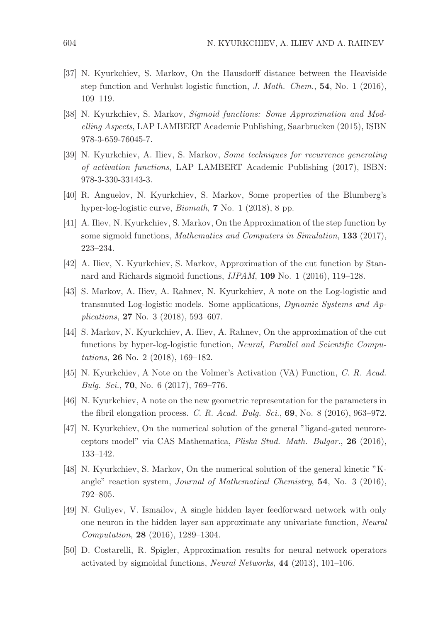- [37] N. Kyurkchiev, S. Markov, On the Hausdorff distance between the Heaviside step function and Verhulst logistic function, J. Math. Chem., 54, No. 1 (2016), 109–119.
- [38] N. Kyurkchiev, S. Markov, Sigmoid functions: Some Approximation and Modelling Aspects, LAP LAMBERT Academic Publishing, Saarbrucken (2015), ISBN 978-3-659-76045-7.
- [39] N. Kyurkchiev, A. Iliev, S. Markov, Some techniques for recurrence generating of activation functions, LAP LAMBERT Academic Publishing (2017), ISBN: 978-3-330-33143-3.
- [40] R. Anguelov, N. Kyurkchiev, S. Markov, Some properties of the Blumberg's hyper-log-logistic curve, Biomath, 7 No. 1 (2018), 8 pp.
- [41] A. Iliev, N. Kyurkchiev, S. Markov, On the Approximation of the step function by some sigmoid functions, Mathematics and Computers in Simulation, 133 (2017), 223–234.
- [42] A. Iliev, N. Kyurkchiev, S. Markov, Approximation of the cut function by Stannard and Richards sigmoid functions, IJPAM, 109 No. 1 (2016), 119–128.
- [43] S. Markov, A. Iliev, A. Rahnev, N. Kyurkchiev, A note on the Log-logistic and transmuted Log-logistic models. Some applications, Dynamic Systems and Applications, 27 No. 3 (2018), 593–607.
- [44] S. Markov, N. Kyurkchiev, A. Iliev, A. Rahnev, On the approximation of the cut functions by hyper-log-logistic function, Neural, Parallel and Scientific Computations, 26 No. 2 (2018), 169–182.
- [45] N. Kyurkchiev, A Note on the Volmer's Activation (VA) Function, C. R. Acad. Bulg. Sci., 70, No. 6 (2017), 769–776.
- [46] N. Kyurkchiev, A note on the new geometric representation for the parameters in the fibril elongation process. C. R. Acad. Bulg. Sci.,  $69$ , No. 8 (2016), 963-972.
- [47] N. Kyurkchiev, On the numerical solution of the general "ligand-gated neuroreceptors model" via CAS Mathematica, Pliska Stud. Math. Bulgar., 26 (2016), 133–142.
- [48] N. Kyurkchiev, S. Markov, On the numerical solution of the general kinetic "Kangle" reaction system, *Journal of Mathematical Chemistry*,  $54$ , No. 3 (2016), 792–805.
- [49] N. Guliyev, V. Ismailov, A single hidden layer feedforward network with only one neuron in the hidden layer san approximate any univariate function, Neural Computation, 28 (2016), 1289–1304.
- [50] D. Costarelli, R. Spigler, Approximation results for neural network operators activated by sigmoidal functions, Neural Networks, 44 (2013), 101–106.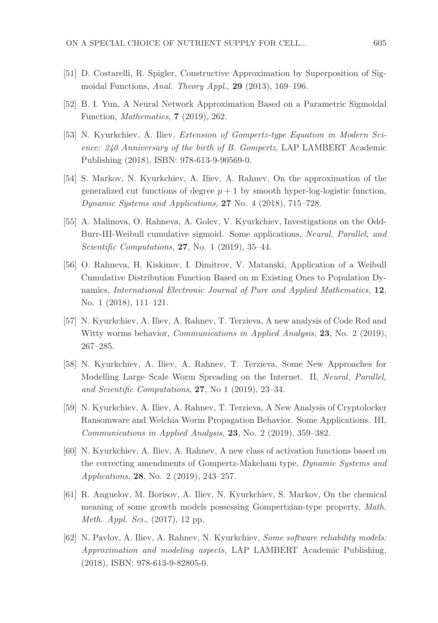- [51] D. Costarelli, R. Spigler, Constructive Approximation by Superposition of Sigmoidal Functions, Anal. Theory Appl., 29 (2013), 169–196.
- [52] B. I. Yun, A Neural Network Approximation Based on a Parametric Sigmoidal Function, Mathematics, 7 (2019), 262.
- [53] N. Kyurkchiev, A. Iliev, Extension of Gompertz-type Equation in Modern Science: 240 Anniversary of the birth of B. Gompertz, LAP LAMBERT Academic Publishing (2018), ISBN: 978-613-9-90569-0.
- [54] S. Markov, N. Kyurkchiev, A. Iliev, A. Rahnev, On the approximation of the generalized cut functions of degree  $p + 1$  by smooth hyper-log-logistic function, Dynamic Systems and Applications, 27 No. 4 (2018), 715–728.
- [55] A. Malinova, O. Rahneva, A. Golev, V. Kyurkchiev, Investigations on the Odd-Burr-III-Weibull cumulative sigmoid. Some applications, Neural, Parallel, and Scientific Computations, 27, No. 1 (2019), 35-44.
- [56] O. Rahneva, H. Kiskinov, I. Dimitrov, V. Matanski, Application of a Weibull Cumulative Distribution Function Based on m Existing Ones to Population Dynamics, International Electronic Journal of Pure and Applied Mathematics, 12, No. 1 (2018), 111–121.
- [57] N. Kyurkchiev, A. Iliev, A. Rahnev, T. Terzieva, A new analysis of Code Red and Witty worms behavior, *Communications in Applied Analysis*, **23**, No. 2 (2019), 267–285.
- [58] N. Kyurkchiev, A. Iliev, A. Rahnev, T. Terzieva, Some New Approaches for Modelling Large–Scale Worm Spreading on the Internet. II, Neural, Parallel, and Scientific Computations, 27, No 1 (2019), 23–34.
- [59] N. Kyurkchiev, A. Iliev, A. Rahnev, T. Terzieva, A New Analysis of Cryptolocker Ransomware and Welchia Worm Propagation Behavior. Some Applications. III, Communications in Applied Analysis, 23, No. 2 (2019), 359–382.
- [60] N. Kyurkchiev, A. Iliev, A. Rahnev, A new class of activation functions based on the correcting amendments of Gompertz-Makeham type, Dynamic Systems and Applications, 28, No. 2 (2019), 243–257.
- [61] R. Anguelov, M. Borisov, A. Iliev, N. Kyurkchiev, S. Markov, On the chemical meaning of some growth models possessing Gompertzian-type property, Math. Meth. Appl. Sci., (2017), 12 pp.
- [62] N. Pavlov, A. Iliev, A. Rahnev, N. Kyurkchiev, Some software reliability models: Approximation and modeling aspects, LAP LAMBERT Academic Publishing, (2018), ISBN: 978-613-9-82805-0.